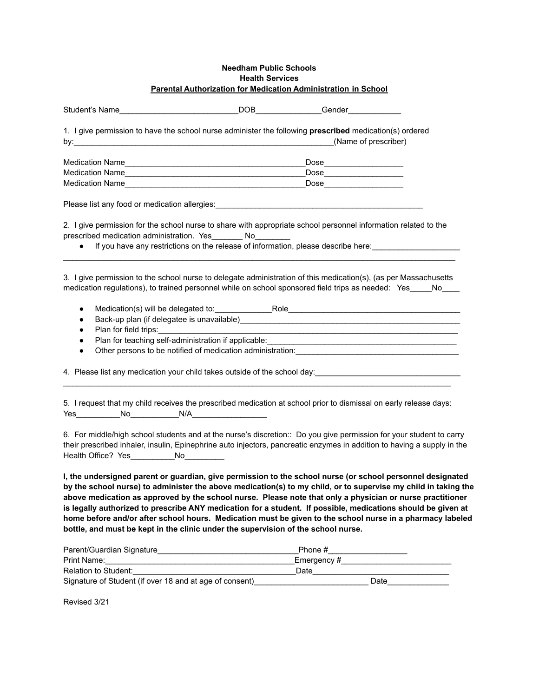## **Needham Public Schools Health Services Parental Authorization for Medication Administration in School**

| 1. I give permission to have the school nurse administer the following prescribed medication(s) ordered                                                                                        | (Name of prescriber)                                                                                           |
|------------------------------------------------------------------------------------------------------------------------------------------------------------------------------------------------|----------------------------------------------------------------------------------------------------------------|
|                                                                                                                                                                                                |                                                                                                                |
| Medication Name                                                                                                                                                                                | $\begin{tabular}{c} \textbf{Dose} \end{tabular}$                                                               |
|                                                                                                                                                                                                |                                                                                                                |
| Please list any food or medication allergies: ___________________________________                                                                                                              |                                                                                                                |
| 2. I give permission for the school nurse to share with appropriate school personnel information related to the<br>prescribed medication administration. Yes ________ No_________<br>$\bullet$ | If you have any restrictions on the release of information, please describe here:                              |
| 3. I give permission to the school nurse to delegate administration of this medication(s), (as per Massachusetts                                                                               | medication regulations), to trained personnel while on school sponsored field trips as needed: Yes_____No____  |
| $\bullet$                                                                                                                                                                                      |                                                                                                                |
| $\bullet$                                                                                                                                                                                      | Back-up plan (if delegatee is unavailable) Manual Communication and the control of the state of the control of |
|                                                                                                                                                                                                |                                                                                                                |
|                                                                                                                                                                                                |                                                                                                                |
|                                                                                                                                                                                                |                                                                                                                |
|                                                                                                                                                                                                | 4. Please list any medication your child takes outside of the school day:                                      |

5. I request that my child receives the prescribed medication at school prior to dismissal on early release days: Yes\_\_\_\_\_\_\_\_\_\_No\_\_\_\_\_\_\_\_\_\_\_N/A\_\_\_\_\_\_\_\_\_\_\_\_\_\_\_\_\_

6. For middle/high school students and at the nurse's discretion:: Do you give permission for your student to carry their prescribed inhaler, insulin, Epinephrine auto injectors, pancreatic enzymes in addition to having a supply in the Health Office? Yes No

**I, the undersigned parent or guardian, give permission to the school nurse (or school personnel designated by the school nurse) to administer the above medication(s) to my child, or to supervise my child in taking the above medication as approved by the school nurse. Please note that only a physician or nurse practitioner is legally authorized to prescribe ANY medication for a student. If possible, medications should be given at home before and/or after school hours. Medication must be given to the school nurse in a pharmacy labeled bottle, and must be kept in the clinic under the supervision of the school nurse.**

| Parent/Guardian Signature                               | Phone #    |
|---------------------------------------------------------|------------|
| Print Name:                                             | Emergency# |
| Relation to Student:                                    | Date       |
| Signature of Student (if over 18 and at age of consent) | Date       |

Revised 3/21